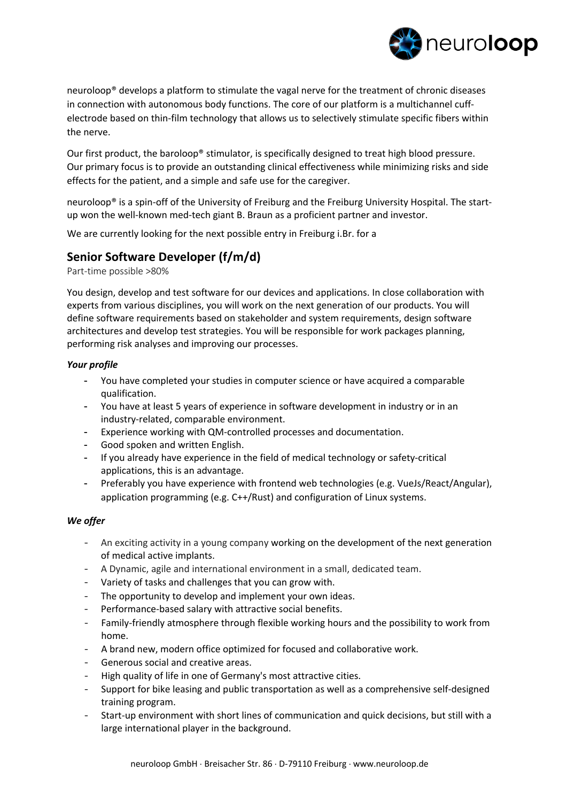

neuroloop® develops a platform to stimulate the vagal nerve for the treatment of chronic diseases in connection with autonomous body functions. The core of our platform is a multichannel cuffelectrode based on thin-film technology that allows us to selectively stimulate specific fibers within the nerve.

Our first product, the baroloop® stimulator, is specifically designed to treat high blood pressure. Our primary focus is to provide an outstanding clinical effectiveness while minimizing risks and side effects for the patient, and a simple and safe use for the caregiver.

neuroloop® is a spin-off of the University of Freiburg and the Freiburg University Hospital. The startup won the well-known med-tech giant B. Braun as a proficient partner and investor.

We are currently looking for the next possible entry in Freiburg i.Br. for a

## **Senior Software Developer (f/m/d)**

Part-time possible >80%

You design, develop and test software for our devices and applications. In close collaboration with experts from various disciplines, you will work on the next generation of our products. You will define software requirements based on stakeholder and system requirements, design software architectures and develop test strategies. You will be responsible for work packages planning, performing risk analyses and improving our processes.

## *Your profile*

- You have completed your studies in computer science or have acquired a comparable qualification.
- You have at least 5 years of experience in software development in industry or in an industry-related, comparable environment.
- Experience working with QM-controlled processes and documentation.
- Good spoken and written English.
- If you already have experience in the field of medical technology or safety-critical applications, this is an advantage.
- Preferably you have experience with frontend web technologies (e.g. VueJs/React/Angular), application programming (e.g. C++/Rust) and configuration of Linux systems.

## *We offer*

- An exciting activity in a young company working on the development of the next generation of medical active implants.
- A Dynamic, agile and international environment in a small, dedicated team.
- Variety of tasks and challenges that you can grow with.
- The opportunity to develop and implement your own ideas.
- Performance-based salary with attractive social benefits.
- Family-friendly atmosphere through flexible working hours and the possibility to work from home.
- A brand new, modern office optimized for focused and collaborative work.
- Generous social and creative areas.
- High quality of life in one of Germany's most attractive cities.
- Support for bike leasing and public transportation as well as a comprehensive self-designed training program.
- Start-up environment with short lines of communication and quick decisions, but still with a large international player in the background.